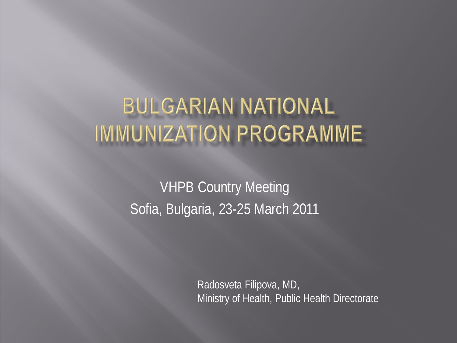# **BULGARIAN NATIONAL IMMUNIZATION PROGRAMME**

VHPB Country Meeting Sofia, Bulgaria, 23-25 March 2011

> Radosveta Filipova, MD, Ministry of Health, Public Health Directorate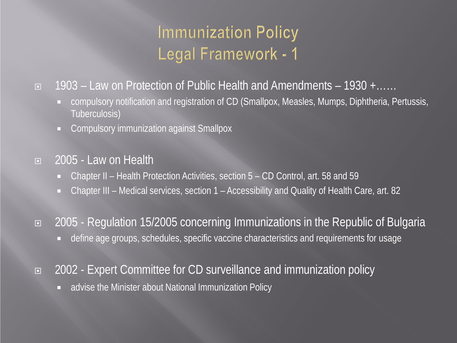# **Immunization Policy** Legal Framework - 1

#### 1903 – Law on Protection of Public Health and Amendments – 1930 +……

- compulsory notification and registration of CD (Smallpox, Measles, Mumps, Diphtheria, Pertussis, Tuberculosis)
- **EXECOMPULSORY IMMUNIZATION AGAINST SMALL PROPERTY**

#### 2005 - Law on Health

- Chapter II Health Protection Activities, section 5 CD Control, art. 58 and 59
- Chapter III Medical services, section 1 Accessibility and Quality of Health Care, art. 82
- 2005 Regulation 15/2005 concerning Immunizations in the Republic of Bulgaria
	- define age groups, schedules, specific vaccine characteristics and requirements for usage
- 2002 Expert Committee for CD surveillance and immunization policy
	- advise the Minister about National Immunization Policy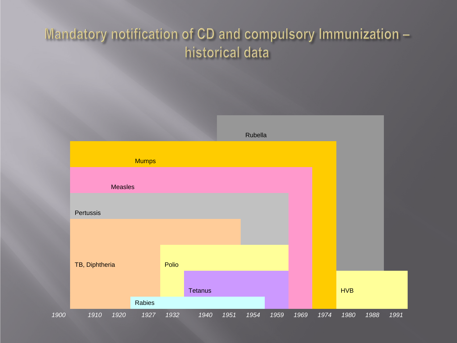#### Mandatory notification of CD and compulsory Immunization historical data

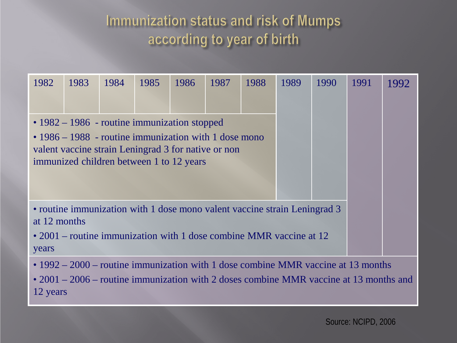### Immunization status and risk of Mumps according to year of birth

| 1982                                                                                                                                                                                        | 1983                                                                                                                                                                                                                 | 1984 | 1985 | 1986 | 1987 | 1988 | 1989 | 1990 | 1991 | 1992 |  |
|---------------------------------------------------------------------------------------------------------------------------------------------------------------------------------------------|----------------------------------------------------------------------------------------------------------------------------------------------------------------------------------------------------------------------|------|------|------|------|------|------|------|------|------|--|
|                                                                                                                                                                                             | $\cdot$ 1982 – 1986 - routine immunization stopped<br>$\cdot$ 1986 – 1988 - routine immunization with 1 dose mono<br>valent vaccine strain Leningrad 3 for native or non<br>immunized children between 1 to 12 years |      |      |      |      |      |      |      |      |      |  |
| • routine immunization with 1 dose mono valent vaccine strain Leningrad 3<br>at 12 months<br>• 2001 – routine immunization with 1 dose combine MMR vaccine at $12$<br>years                 |                                                                                                                                                                                                                      |      |      |      |      |      |      |      |      |      |  |
| • $1992 - 2000$ – routine immunization with 1 dose combine MMR vaccine at 13 months<br>• $2001 - 2006$ – routine immunization with 2 doses combine MMR vaccine at 13 months and<br>12 years |                                                                                                                                                                                                                      |      |      |      |      |      |      |      |      |      |  |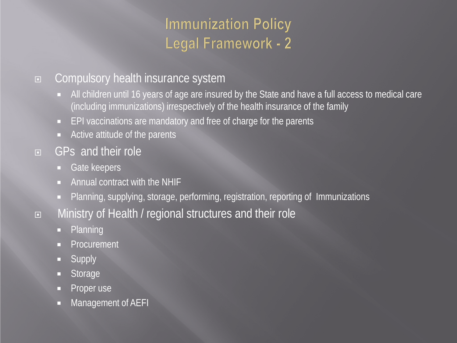### **Immunization Policy** Legal Framework - 2

#### □ Compulsory health insurance system

- All children until 16 years of age are insured by the State and have a full access to medical care (including immunizations) irrespectively of the health insurance of the family
- **EPI vaccinations are mandatory and free of charge for the parents**
- Active attitude of the parents
- GPs and their role
	- Gate keepers
	- Annual contract with the NHIF
	- **Planning, supplying, storage, performing, registration, reporting of Immunizations**
- Ministry of Health / regional structures and their role
	- **Planning**
	- Procurement
	- **Supply**
	- **Storage**
	- Proper use
	- **Nanagement of AEFI**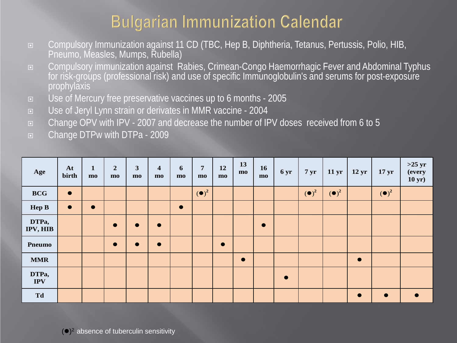## **Bulgarian Immunization Calendar**

- □ Compulsory Immunization against 11 CD (TBC, Hep B, Diphtheria, Tetanus, Pertussis, Polio, HIB, Pneumo, Measles, Mumps, Rubella)
- □ Compulsory immunization against Rabies, Crimean-Congo Haemorrhagic Fever and Abdominal Typhus for risk-groups (professional risk) and use of specific Immunoglobulin's and serums for post-exposure prophylaxis
- Use of Mercury free preservative vaccines up to 6 months 2005
- Use of Jeryl Lynn strain or derivates in MMR vaccine 2004
- Change OPV with IPV 2007 and decrease the number of IPV doses received from 6 to 5
- Change DTPw with DTPa 2009

| Age                 | At<br>birth | $\mathbf{1}$<br>mo | $\overline{2}$<br>$m$ | $\mathbf{3}$<br>$m$ | $\overline{\mathbf{4}}$<br>$m$ | 6<br>$m$  | $\overline{7}$<br>$\mathbf{m}\mathbf{o}$ | 12<br>mo  | 13<br>$m$ | <b>16</b><br>$m$ | 6 yr      | $7 \,\mathrm{yr}$        | $11 \,\mathrm{yr}$       | $12 \,\mathrm{yr}$ | 17 <sub>yr</sub>         | $>25 \, yr$<br>(every<br>$10 \text{ yr}$ ) |
|---------------------|-------------|--------------------|-----------------------|---------------------|--------------------------------|-----------|------------------------------------------|-----------|-----------|------------------|-----------|--------------------------|--------------------------|--------------------|--------------------------|--------------------------------------------|
| <b>BCG</b>          | $\bullet$   |                    |                       |                     |                                |           | $\left(\bullet\right)^2$                 |           |           |                  |           | $\left(\bullet\right)^2$ | $\left(\bullet\right)^2$ |                    | $\left(\bullet\right)^2$ |                                            |
| <b>Hep B</b>        | $\bullet$   | $\bullet$          |                       |                     |                                | $\bullet$ |                                          |           |           |                  |           |                          |                          |                    |                          |                                            |
| DTPa,<br>IPV, HIB   |             |                    | $\bullet$             | $\bullet$           | $\bullet$                      |           |                                          |           |           | $\bullet$        |           |                          |                          |                    |                          |                                            |
| <b>Pneumo</b>       |             |                    | $\bullet$             | $\bullet$           | $\bullet$                      |           |                                          | $\bullet$ |           |                  |           |                          |                          |                    |                          |                                            |
| <b>MMR</b>          |             |                    |                       |                     |                                |           |                                          |           | $\bullet$ |                  |           |                          |                          | $\bullet$          |                          |                                            |
| DTPa,<br><b>IPV</b> |             |                    |                       |                     |                                |           |                                          |           |           |                  | $\bullet$ |                          |                          |                    |                          |                                            |
| Td                  |             |                    |                       |                     |                                |           |                                          |           |           |                  |           |                          |                          | $\bullet$          | $\bullet$                | $\bullet$                                  |

 $($ <sup>o</sup> $)$ <sup>2</sup> absence of tuberculin sensitivity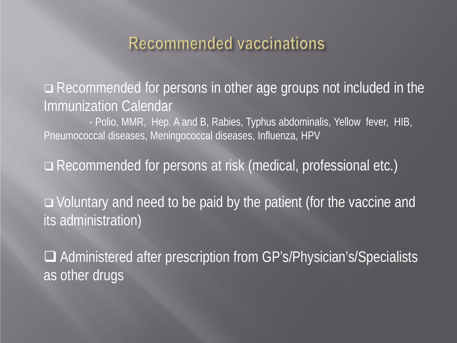### Recommended vaccinations

Recommended for persons in other age groups not included in the Immunization Calendar<br>- Polio, MMR, Hep. A and B, Rabies, Typhus abdominalis, Yellow fever, HIB,

Pneumococcal diseases, Meningococcal diseases, Influenza, HPV

Recommended for persons at risk (medical, professional etc.)

 Voluntary and need to be paid by the patient (for the vaccine and its administration)

□ Administered after prescription from GP's/Physician's/Specialists as other drugs